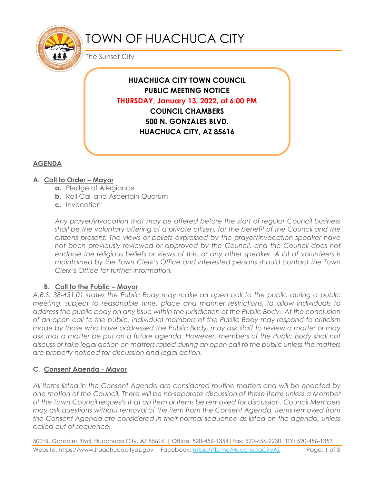

# TOWN OF HUACHUCA CITY

The Sunset City

**HUACHUCA CITY TOWN COUNCIL PUBLIC MEETING NOTICE THURSDAY, January 13, 2022, at 6:00 PM COUNCIL CHAMBERS 500 N. GONZALES BLVD. HUACHUCA CITY, AZ 85616**

# **AGENDA**

## **A. Call to Order – Mayor**

- **a.** Pledge of Allegiance
- **b.** Roll Call and Ascertain Quorum
- **c.** Invocation

*Any prayer/invocation that may be offered before the start of regular Council business shall be the voluntary offering of a private citizen, for the benefit of the Council and the citizens present. The views or beliefs expressed by the prayer/invocation speaker have*  not been previously reviewed or approved by the Council, and the Council does not endorse the religious beliefs or views of this, or any other speaker. A list of volunteers is *maintained by the Town Clerk's Office and interested persons should contact the Town Clerk's Office for further information.*

## **B.** Call to the Public – Mayor

*A.R.S. 38-431.01 states the Public Body may make an open call to the public during a public meeting, subject to reasonable time, place and manner restrictions, to allow individuals to address the public body on any issue within the jurisdiction of the Public Body. At the conclusion of an open call to the public, individual members of the Public Body may respond to criticism made by those who have addressed the Public Body, may ask staff to review a matter or may*  ask that a matter be put on a future agenda. However, members of the Public Body shall not *discuss or take legal action on matters raised during an open call to the public unless the matters are properly noticed for discussion and legal action.*

# **C. Consent Agenda - Mayor**

*All items listed in the Consent Agenda are considered routine matters and will be enacted by one motion of the Council. There will be no separate discussion of these items unless a Member of the Town Council requests that an item or items be removed for discussion. Council Members may ask questions without removal of the item from the Consent Agenda. Items removed from the Consent Agenda are considered in their normal sequence as listed on the agenda, unless called out of sequence.*

500 N. Gonzales Blvd, Huachuca City, AZ 85616 | Office: 520-456-1354|Fax: 520-456-2230|TTY: 520-456-1353 Website: https://www.huachucacityaz.gov | Facebook:<https://fb.me/HuachucaCityAZ> Page: 1 of 3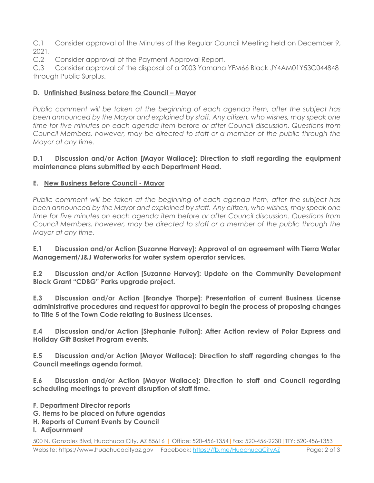C.1 Consider approval of the Minutes of the Regular Council Meeting held on December 9, 2021.

C.2 Consider approval of the Payment Approval Report.

C.3 Consider approval of the disposal of a 2003 Yamaha YFM66 Black JY4AM01Y53C044848 through Public Surplus.

## **D. Unfinished Business before the Council – Mayor**

*Public comment will be taken at the beginning of each agenda item, after the subject has been announced by the Mayor and explained by staff. Any citizen, who wishes, may speak one time for five minutes on each agenda item before or after Council discussion. Questions from Council Members, however, may be directed to staff or a member of the public through the Mayor at any time.*

#### **D.1 Discussion and/or Action [Mayor Wallace]: Direction to staff regarding the equipment maintenance plans submitted by each Department Head.**

## **E. New Business Before Council - Mayor**

*Public comment will be taken at the beginning of each agenda item, after the subject has been announced by the Mayor and explained by staff. Any citizen, who wishes, may speak one time for five minutes on each agenda item before or after Council discussion. Questions from Council Members, however, may be directed to staff or a member of the public through the Mayor at any time.* 

**E.1 Discussion and/or Action [Suzanne Harvey]: Approval of an agreement with Tierra Water Management/J&J Waterworks for water system operator services.**

**E.2 Discussion and/or Action [Suzanne Harvey]: Update on the Community Development Block Grant "CDBG" Parks upgrade project.**

**E.3 Discussion and/or Action [Brandye Thorpe]: Presentation of current Business License administrative procedures and request for approval to begin the process of proposing changes to Title 5 of the Town Code relating to Business Licenses.**

**E.4 Discussion and/or Action [Stephanie Fulton]: After Action review of Polar Express and Holiday Gift Basket Program events.**

**E.5 Discussion and/or Action [Mayor Wallace]: Direction to staff regarding changes to the Council meetings agenda format.**

**E.6 Discussion and/or Action [Mayor Wallace]: Direction to staff and Council regarding scheduling meetings to prevent disruption of staff time.**

- **F. Department Director reports**
- **G. Items to be placed on future agendas**
- **H. Reports of Current Events by Council**

#### **I. Adjournment**

500 N. Gonzales Blvd, Huachuca City, AZ 85616 | Office: 520-456-1354|Fax: 520-456-2230|TTY: 520-456-1353 Website: https://www.huachucacityaz.gov | Facebook:<https://fb.me/HuachucaCityAZ> Page: 2 of 3